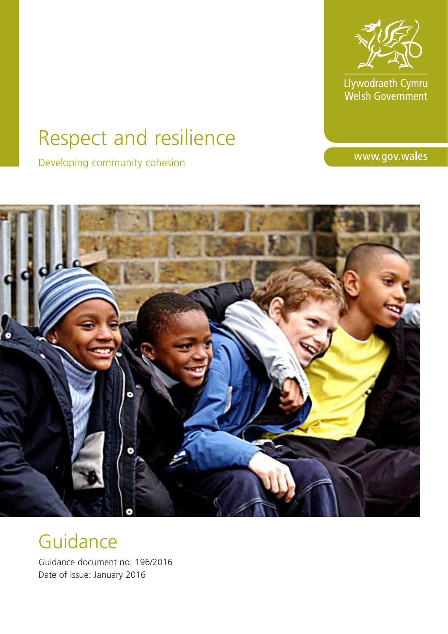

Llywodraeth Cymru<br>Welsh Government

# Respect and resilience

Developing community cohesion

www.gov.wales



# Guidance

Guidance document no: 196/2016 Date of issue: January 2016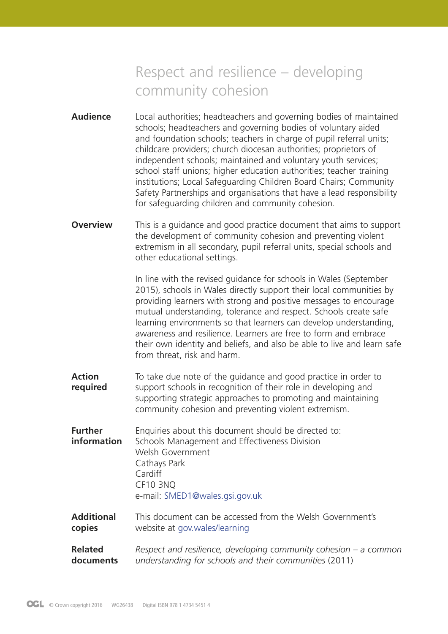# Respect and resilience – developing community cohesion

- **Audience** Local authorities; headteachers and governing bodies of maintained schools; headteachers and governing bodies of voluntary aided and foundation schools; teachers in charge of pupil referral units; childcare providers; church diocesan authorities; proprietors of independent schools; maintained and voluntary youth services; school staff unions; higher education authorities; teacher training institutions; Local Safeguarding Children Board Chairs; Community Safety Partnerships and organisations that have a lead responsibility for safeguarding children and community cohesion.
- **Overview** This is a guidance and good practice document that aims to support the development of community cohesion and preventing violent extremism in all secondary, pupil referral units, special schools and other educational settings.

In line with the revised guidance for schools in Wales (September 2015), schools in Wales directly support their local communities by providing learners with strong and positive messages to encourage mutual understanding, tolerance and respect. Schools create safe learning environments so that learners can develop understanding, awareness and resilience. Learners are free to form and embrace their own identity and beliefs, and also be able to live and learn safe from threat, risk and harm.

**Action** To take due note of the guidance and good practice in order to **required** support schools in recognition of their role in developing and supporting strategic approaches to promoting and maintaining community cohesion and preventing violent extremism.

**Further** Enquiries about this document should be directed to: **information** Schools Management and Effectiveness Division Welsh Government Cathays Park Cardiff CF10 3NQ e-mail: SMED1@wales.gsi.gov.uk

- **Additional** This document can be accessed from the Welsh Government's **copies** website at [gov.wales/learning](http://gov.wales/learning)
- **Related** *Respect and resilience, developing community cohesion a common* **documents** *understanding for schools and their communities* (2011)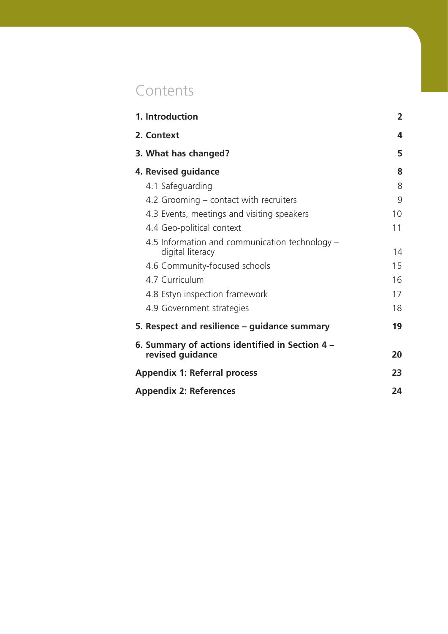# **Contents**

| 1. Introduction                                                     | $\overline{2}$ |
|---------------------------------------------------------------------|----------------|
| 2. Context                                                          | 4              |
| 3. What has changed?                                                | 5              |
| 4. Revised guidance                                                 | 8              |
| 4.1 Safeguarding                                                    | 8              |
| 4.2 Grooming – contact with recruiters                              | 9              |
| 4.3 Events, meetings and visiting speakers                          | 10             |
| 4.4 Geo-political context                                           | 11             |
| 4.5 Information and communication technology –<br>digital literacy  | 14             |
| 4.6 Community-focused schools                                       | 15             |
| 4.7 Curriculum                                                      | 16             |
| 4.8 Estyn inspection framework                                      | 17             |
| 4.9 Government strategies                                           | 18             |
| 5. Respect and resilience – guidance summary                        | 19             |
| 6. Summary of actions identified in Section 4 –<br>revised guidance | 20             |
| <b>Appendix 1: Referral process</b>                                 | 23             |
| <b>Appendix 2: References</b>                                       | 24             |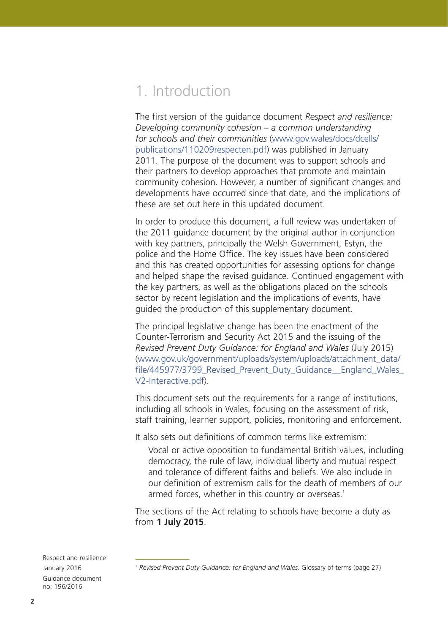# 1. Introduction

The first version of the guidance document *Respect and resilience: Developing community cohesion – a common understanding for schools and their communities* ([www.gov.wales/docs/dcells/](www.gov.wales/docs/dcells/publications/110209respecten.pdf) [publications/110209respecten.pdf\)](www.gov.wales/docs/dcells/publications/110209respecten.pdf) was published in January 2011. The purpose of the document was to support schools and their partners to develop approaches that promote and maintain community cohesion. However, a number of significant changes and developments have occurred since that date, and the implications of these are set out here in this updated document.

In order to produce this document, a full review was undertaken of the 2011 guidance document by the original author in conjunction with key partners, principally the Welsh Government, Estyn, the police and the Home Office. The key issues have been considered and this has created opportunities for assessing options for change and helped shape the revised guidance. Continued engagement with the key partners, as well as the obligations placed on the schools sector by recent legislation and the implications of events, have guided the production of this supplementary document.

The principal legislative change has been the enactment of the Counter-Terrorism and Security Act 2015 and the issuing of the *Revised Prevent Duty Guidance: for England and Wales* (July 2015) [\(www.gov.uk/government/uploads/system/uploads/attachment\\_data/](www.gov.uk/government/uploads/system/uploads/attachment_data/file/445977/3799_Revised_Prevent_Duty_Guidance__England_Wales_V2-Interactive.pdf) file/445977/3799 Revised Prevent Duty Guidance England Wales [V2-Interactive.pdf](www.gov.uk/government/uploads/system/uploads/attachment_data/file/445977/3799_Revised_Prevent_Duty_Guidance__England_Wales_V2-Interactive.pdf)).

This document sets out the requirements for a range of institutions, including all schools in Wales, focusing on the assessment of risk, staff training, learner support, policies, monitoring and enforcement.

It also sets out definitions of common terms like extremism:

 Vocal or active opposition to fundamental British values, including democracy, the rule of law, individual liberty and mutual respect and tolerance of different faiths and beliefs. We also include in our definition of extremism calls for the death of members of our armed forces, whether in this country or overseas.<sup>1</sup>

The sections of the Act relating to schools have become a duty as from **1 July 2015**.

<sup>&</sup>lt;sup>1</sup> Revised Prevent Duty Guidance: for England and Wales, Glossary of terms (page 27)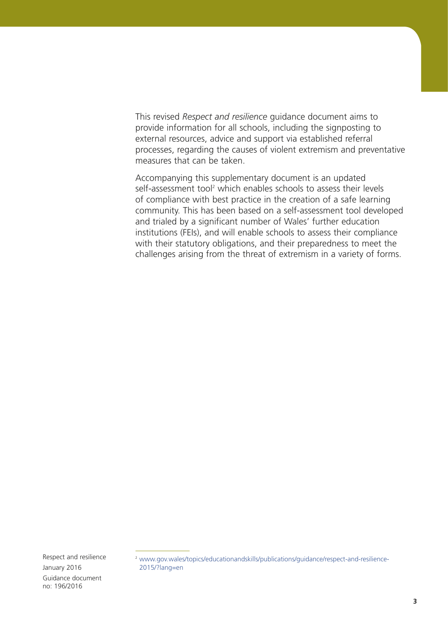This revised *Respect and resilience* guidance document aims to provide information for all schools, including the signposting to external resources, advice and support via established referral processes, regarding the causes of violent extremism and preventative measures that can be taken.

Accompanying this supplementary document is an updated self-assessment tool<sup>2</sup> which enables schools to assess their levels of compliance with best practice in the creation of a safe learning community. This has been based on a self-assessment tool developed and trialed by a significant number of Wales' further education institutions (FEIs), and will enable schools to assess their compliance with their statutory obligations, and their preparedness to meet the challenges arising from the threat of extremism in a variety of forms.

<sup>&</sup>lt;sup>2</sup> [www.gov.wales/topics/educationandskills/publications/guidance/respect-and-resilience-](www.gov.wales/topics/educationandskills/publications/guidance/respect-and-resilience-2015/?lang=en)[2015/?lang=en](www.gov.wales/topics/educationandskills/publications/guidance/respect-and-resilience-2015/?lang=en)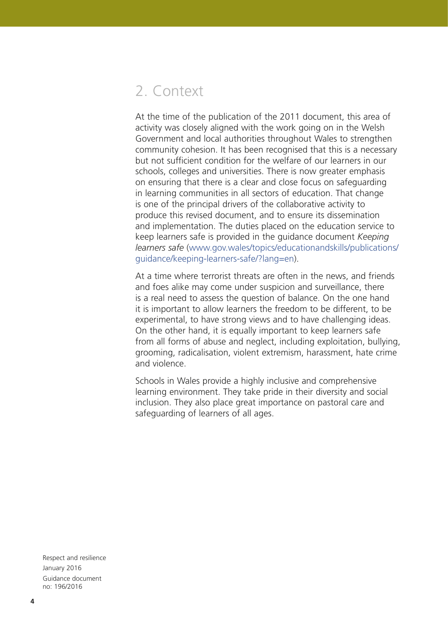# 2. Context

At the time of the publication of the 2011 document, this area of activity was closely aligned with the work going on in the Welsh Government and local authorities throughout Wales to strengthen community cohesion. It has been recognised that this is a necessary but not sufficient condition for the welfare of our learners in our schools, colleges and universities. There is now greater emphasis on ensuring that there is a clear and close focus on safeguarding in learning communities in all sectors of education. That change is one of the principal drivers of the collaborative activity to produce this revised document, and to ensure its dissemination and implementation. The duties placed on the education service to keep learners safe is provided in the guidance document *Keeping learners safe* [\(www.gov.wales/topics/educationandskills/publications/](www.gov.wales/topics/educationandskills/publications/guidance/keeping-learners-safe/?lang=en) [guidance/keeping-learners-safe/?lang=en\)](www.gov.wales/topics/educationandskills/publications/guidance/keeping-learners-safe/?lang=en).

At a time where terrorist threats are often in the news, and friends and foes alike may come under suspicion and surveillance, there is a real need to assess the question of balance. On the one hand it is important to allow learners the freedom to be different, to be experimental, to have strong views and to have challenging ideas. On the other hand, it is equally important to keep learners safe from all forms of abuse and neglect, including exploitation, bullying, grooming, radicalisation, violent extremism, harassment, hate crime and violence.

Schools in Wales provide a highly inclusive and comprehensive learning environment. They take pride in their diversity and social inclusion. They also place great importance on pastoral care and safeguarding of learners of all ages.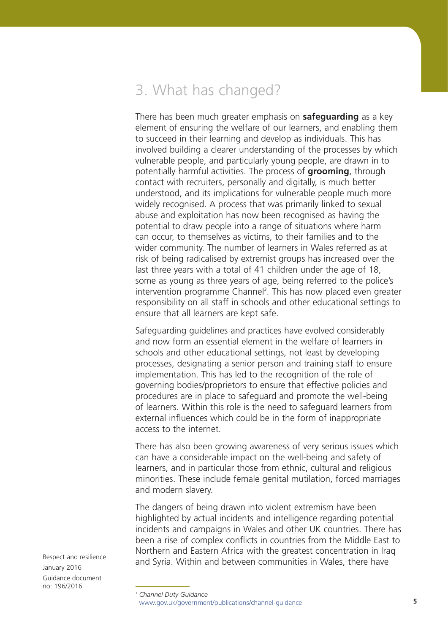# 3. What has changed?

There has been much greater emphasis on **safeguarding** as a key element of ensuring the welfare of our learners, and enabling them to succeed in their learning and develop as individuals. This has involved building a clearer understanding of the processes by which vulnerable people, and particularly young people, are drawn in to potentially harmful activities. The process of **grooming**, through contact with recruiters, personally and digitally, is much better understood, and its implications for vulnerable people much more widely recognised. A process that was primarily linked to sexual abuse and exploitation has now been recognised as having the potential to draw people into a range of situations where harm can occur, to themselves as victims, to their families and to the wider community. The number of learners in Wales referred as at risk of being radicalised by extremist groups has increased over the last three years with a total of 41 children under the age of 18, some as young as three years of age, being referred to the police's intervention programme Channel<sup>3</sup>. This has now placed even greater responsibility on all staff in schools and other educational settings to ensure that all learners are kept safe.

Safeguarding guidelines and practices have evolved considerably and now form an essential element in the welfare of learners in schools and other educational settings, not least by developing processes, designating a senior person and training staff to ensure implementation. This has led to the recognition of the role of governing bodies/proprietors to ensure that effective policies and procedures are in place to safeguard and promote the well-being of learners. Within this role is the need to safeguard learners from external influences which could be in the form of inappropriate access to the internet.

There has also been growing awareness of very serious issues which can have a considerable impact on the well-being and safety of learners, and in particular those from ethnic, cultural and religious minorities. These include female genital mutilation, forced marriages and modern slavery.

The dangers of being drawn into violent extremism have been highlighted by actual incidents and intelligence regarding potential incidents and campaigns in Wales and other UK countries. There has been a rise of complex conflicts in countries from the Middle East to Northern and Eastern Africa with the greatest concentration in Iraq and Syria. Within and between communities in Wales, there have

<sup>3</sup> *Channel Duty Guidance* <www.gov.uk/government/publications/channel-guidance>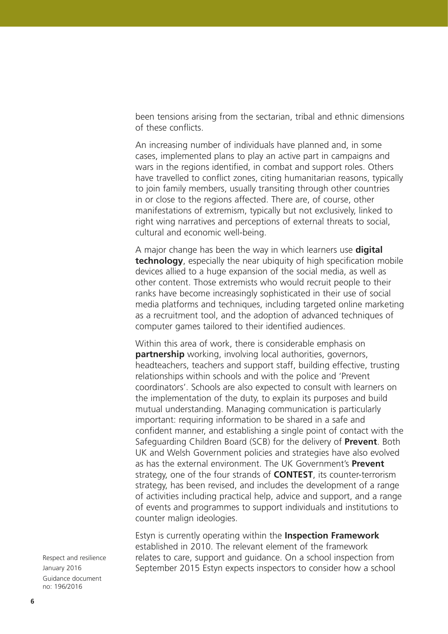been tensions arising from the sectarian, tribal and ethnic dimensions of these conflicts.

An increasing number of individuals have planned and, in some cases, implemented plans to play an active part in campaigns and wars in the regions identified, in combat and support roles. Others have travelled to conflict zones, citing humanitarian reasons, typically to join family members, usually transiting through other countries in or close to the regions affected. There are, of course, other manifestations of extremism, typically but not exclusively, linked to right wing narratives and perceptions of external threats to social, cultural and economic well-being.

A major change has been the way in which learners use **digital technology**, especially the near ubiquity of high specification mobile devices allied to a huge expansion of the social media, as well as other content. Those extremists who would recruit people to their ranks have become increasingly sophisticated in their use of social media platforms and techniques, including targeted online marketing as a recruitment tool, and the adoption of advanced techniques of computer games tailored to their identified audiences.

Within this area of work, there is considerable emphasis on **partnership** working, involving local authorities, governors, headteachers, teachers and support staff, building effective, trusting relationships within schools and with the police and 'Prevent coordinators'. Schools are also expected to consult with learners on the implementation of the duty, to explain its purposes and build mutual understanding. Managing communication is particularly important: requiring information to be shared in a safe and confident manner, and establishing a single point of contact with the Safeguarding Children Board (SCB) for the delivery of **Prevent**. Both UK and Welsh Government policies and strategies have also evolved as has the external environment. The UK Government's **Prevent** strategy, one of the four strands of **CONTEST**, its counter-terrorism strategy, has been revised, and includes the development of a range of activities including practical help, advice and support, and a range of events and programmes to support individuals and institutions to counter malign ideologies.

Estyn is currently operating within the **Inspection Framework** established in 2010. The relevant element of the framework relates to care, support and guidance. On a school inspection from September 2015 Estyn expects inspectors to consider how a school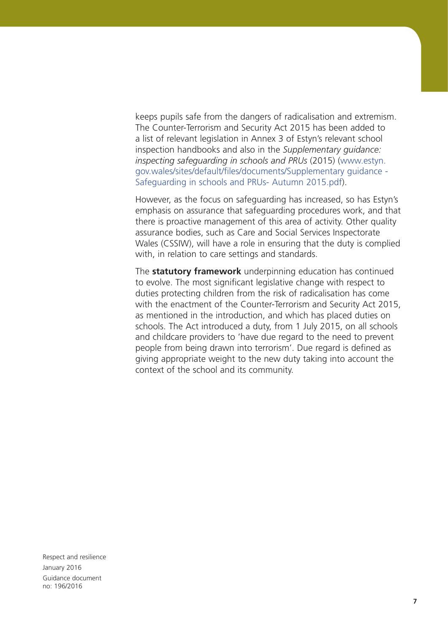keeps pupils safe from the dangers of radicalisation and extremism. The Counter-Terrorism and Security Act 2015 has been added to a list of relevant legislation in Annex 3 of Estyn's relevant school inspection handbooks and also in the *Supplementary guidance: inspecting safeguarding in schools and PRUs* (2015) [\(www.estyn.](www.estyn.gov.wales/sites/default/files/documents/Supplementary guidance - Safeguarding in schools and PRUs- Autumn 2015.pdf) [gov.wales/sites/default/files/documents/Supplementary guidance -](www.estyn.gov.wales/sites/default/files/documents/Supplementary guidance - Safeguarding in schools and PRUs- Autumn 2015.pdf)  [Safeguarding in schools and PRUs- Autumn 2015.pdf\)](www.estyn.gov.wales/sites/default/files/documents/Supplementary guidance - Safeguarding in schools and PRUs- Autumn 2015.pdf).

However, as the focus on safeguarding has increased, so has Estyn's emphasis on assurance that safeguarding procedures work, and that there is proactive management of this area of activity. Other quality assurance bodies, such as Care and Social Services Inspectorate Wales (CSSIW), will have a role in ensuring that the duty is complied with, in relation to care settings and standards.

The **statutory framework** underpinning education has continued to evolve. The most significant legislative change with respect to duties protecting children from the risk of radicalisation has come with the enactment of the Counter-Terrorism and Security Act 2015, as mentioned in the introduction, and which has placed duties on schools. The Act introduced a duty, from 1 July 2015, on all schools and childcare providers to 'have due regard to the need to prevent people from being drawn into terrorism'. Due regard is defined as giving appropriate weight to the new duty taking into account the context of the school and its community.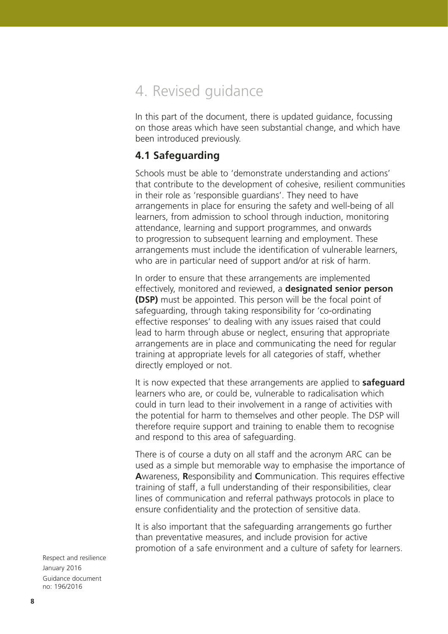# 4. Revised guidance

In this part of the document, there is updated guidance, focussing on those areas which have seen substantial change, and which have been introduced previously.

# **4.1 Safeguarding**

Schools must be able to 'demonstrate understanding and actions' that contribute to the development of cohesive, resilient communities in their role as 'responsible guardians'. They need to have arrangements in place for ensuring the safety and well-being of all learners, from admission to school through induction, monitoring attendance, learning and support programmes, and onwards to progression to subsequent learning and employment. These arrangements must include the identification of vulnerable learners, who are in particular need of support and/or at risk of harm.

In order to ensure that these arrangements are implemented effectively, monitored and reviewed, a **designated senior person (DSP)** must be appointed. This person will be the focal point of safeguarding, through taking responsibility for 'co-ordinating effective responses' to dealing with any issues raised that could lead to harm through abuse or neglect, ensuring that appropriate arrangements are in place and communicating the need for regular training at appropriate levels for all categories of staff, whether directly employed or not.

It is now expected that these arrangements are applied to **safeguard** learners who are, or could be, vulnerable to radicalisation which could in turn lead to their involvement in a range of activities with the potential for harm to themselves and other people. The DSP will therefore require support and training to enable them to recognise and respond to this area of safeguarding.

There is of course a duty on all staff and the acronym ARC can be used as a simple but memorable way to emphasise the importance of **A**wareness, **R**esponsibility and **C**ommunication. This requires effective training of staff, a full understanding of their responsibilities, clear lines of communication and referral pathways protocols in place to ensure confidentiality and the protection of sensitive data.

It is also important that the safeguarding arrangements go further than preventative measures, and include provision for active promotion of a safe environment and a culture of safety for learners.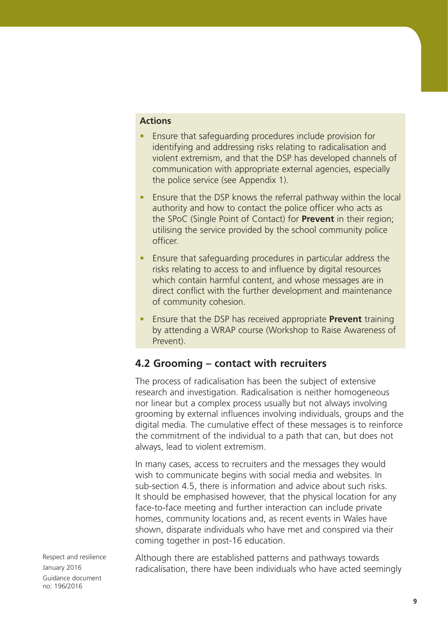#### **Actions**

- Ensure that safeguarding procedures include provision for identifying and addressing risks relating to radicalisation and violent extremism, and that the DSP has developed channels of communication with appropriate external agencies, especially the police service (see Appendix 1).
- Ensure that the DSP knows the referral pathway within the local authority and how to contact the police officer who acts as the SPoC (Single Point of Contact) for **Prevent** in their region; utilising the service provided by the school community police officer.
- Ensure that safeguarding procedures in particular address the risks relating to access to and influence by digital resources which contain harmful content, and whose messages are in direct conflict with the further development and maintenance of community cohesion.
- Ensure that the DSP has received appropriate **Prevent** training by attending a WRAP course (Workshop to Raise Awareness of Prevent).

# **4.2 Grooming – contact with recruiters**

The process of radicalisation has been the subject of extensive research and investigation. Radicalisation is neither homogeneous nor linear but a complex process usually but not always involving grooming by external influences involving individuals, groups and the digital media. The cumulative effect of these messages is to reinforce the commitment of the individual to a path that can, but does not always, lead to violent extremism.

In many cases, access to recruiters and the messages they would wish to communicate begins with social media and websites. In sub-section 4.5, there is information and advice about such risks. It should be emphasised however, that the physical location for any face-to-face meeting and further interaction can include private homes, community locations and, as recent events in Wales have shown, disparate individuals who have met and conspired via their coming together in post-16 education.

Respect and resilience January 2016 Guidance document no: 196/2016

Although there are established patterns and pathways towards radicalisation, there have been individuals who have acted seemingly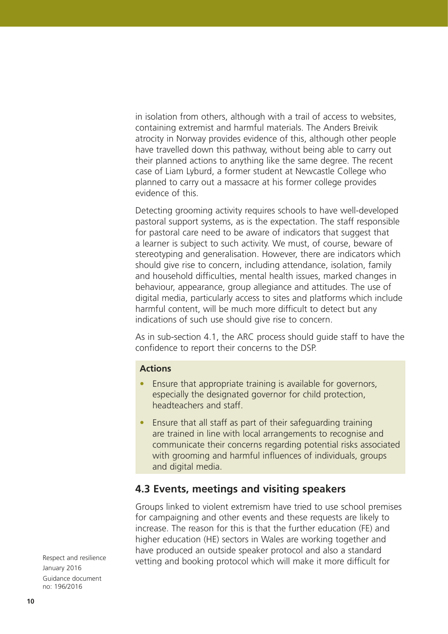in isolation from others, although with a trail of access to websites, containing extremist and harmful materials. The Anders Breivik atrocity in Norway provides evidence of this, although other people have travelled down this pathway, without being able to carry out their planned actions to anything like the same degree. The recent case of Liam Lyburd, a former student at Newcastle College who planned to carry out a massacre at his former college provides evidence of this.

Detecting grooming activity requires schools to have well-developed pastoral support systems, as is the expectation. The staff responsible for pastoral care need to be aware of indicators that suggest that a learner is subject to such activity. We must, of course, beware of stereotyping and generalisation. However, there are indicators which should give rise to concern, including attendance, isolation, family and household difficulties, mental health issues, marked changes in behaviour, appearance, group allegiance and attitudes. The use of digital media, particularly access to sites and platforms which include harmful content, will be much more difficult to detect but any indications of such use should give rise to concern.

As in sub-section 4.1, the ARC process should guide staff to have the confidence to report their concerns to the DSP.

#### **Actions**

- Ensure that appropriate training is available for governors, especially the designated governor for child protection, headteachers and staff.
- Ensure that all staff as part of their safeguarding training are trained in line with local arrangements to recognise and communicate their concerns regarding potential risks associated with grooming and harmful influences of individuals, groups and digital media.

# **4.3 Events, meetings and visiting speakers**

Groups linked to violent extremism have tried to use school premises for campaigning and other events and these requests are likely to increase. The reason for this is that the further education (FE) and higher education (HE) sectors in Wales are working together and have produced an outside speaker protocol and also a standard vetting and booking protocol which will make it more difficult for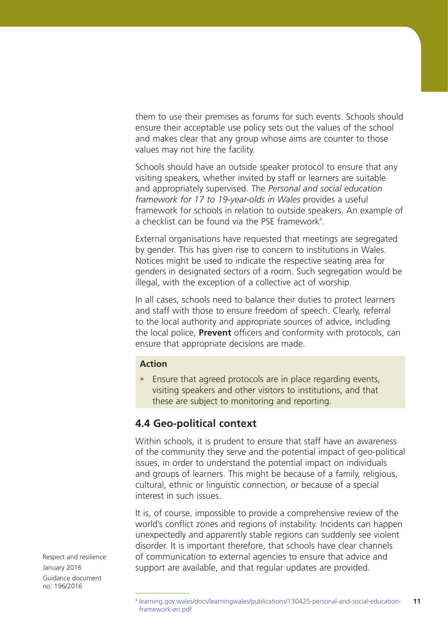them to use their premises as forums for such events. Schools should ensure their acceptable use policy sets out the values of the school and makes clear that any group whose aims are counter to those values may not hire the facility.

Schools should have an outside speaker protocol to ensure that any visiting speakers, whether invited by staff or learners are suitable and appropriately supervised. The *Personal and social education framework for 17 to 19-year-olds in Wales* provides a useful framework for schools in relation to outside speakers. An example of a checklist can be found via the PSE framework<sup>4</sup>.

External organisations have requested that meetings are segregated by gender. This has given rise to concern to institutions in Wales. Notices might be used to indicate the respective seating area for genders in designated sectors of a room. Such segregation would be illegal, with the exception of a collective act of worship.

In all cases, schools need to balance their duties to protect learners and staff with those to ensure freedom of speech. Clearly, referral to the local authority and appropriate sources of advice, including the local police, **Prevent** officers and conformity with protocols, can ensure that appropriate decisions are made.

### **Action**

• Ensure that agreed protocols are in place regarding events, visiting speakers and other visitors to institutions, and that these are subject to monitoring and reporting.

# **4.4 Geo-political context**

Within schools, it is prudent to ensure that staff have an awareness of the community they serve and the potential impact of geo-political issues, in order to understand the potential impact on individuals and groups of learners. This might be because of a family, religious, cultural, ethnic or linguistic connection, or because of a special interest in such issues.

It is, of course, impossible to provide a comprehensive review of the world's conflict zones and regions of instability. Incidents can happen unexpectedly and apparently stable regions can suddenly see violent disorder. It is important therefore, that schools have clear channels of communication to external agencies to ensure that advice and support are available, and that regular updates are provided.

Respect and resilience January 2016 Guidance document no: 196/2016

**<sup>11</sup>** <sup>4</sup> [learning.gov.wales/docs/learningwales/publications/130425-personal-and-social-education](learning.gov.wales/docs/learningwales/publications/130425-personal-and-social-education-framework-en.pdf)[framework-en.pdf](learning.gov.wales/docs/learningwales/publications/130425-personal-and-social-education-framework-en.pdf)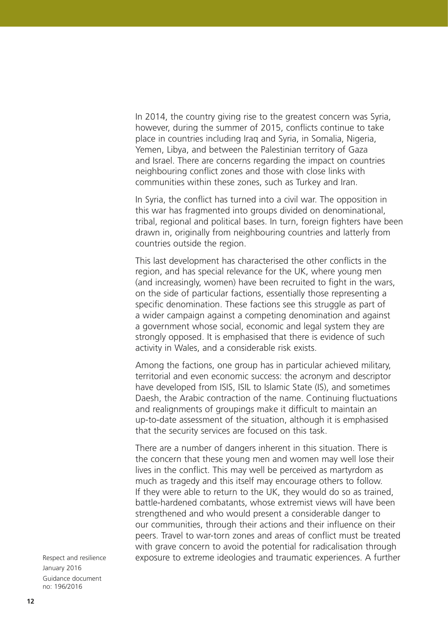In 2014, the country giving rise to the greatest concern was Syria, however, during the summer of 2015, conflicts continue to take place in countries including Iraq and Syria, in Somalia, Nigeria, Yemen, Libya, and between the Palestinian territory of Gaza and Israel. There are concerns regarding the impact on countries neighbouring conflict zones and those with close links with communities within these zones, such as Turkey and Iran.

In Syria, the conflict has turned into a civil war. The opposition in this war has fragmented into groups divided on denominational, tribal, regional and political bases. In turn, foreign fighters have been drawn in, originally from neighbouring countries and latterly from countries outside the region.

This last development has characterised the other conflicts in the region, and has special relevance for the UK, where young men (and increasingly, women) have been recruited to fight in the wars, on the side of particular factions, essentially those representing a specific denomination. These factions see this struggle as part of a wider campaign against a competing denomination and against a government whose social, economic and legal system they are strongly opposed. It is emphasised that there is evidence of such activity in Wales, and a considerable risk exists.

Among the factions, one group has in particular achieved military, territorial and even economic success: the acronym and descriptor have developed from ISIS, ISIL to Islamic State (IS), and sometimes Daesh, the Arabic contraction of the name. Continuing fluctuations and realignments of groupings make it difficult to maintain an up-to-date assessment of the situation, although it is emphasised that the security services are focused on this task.

There are a number of dangers inherent in this situation. There is the concern that these young men and women may well lose their lives in the conflict. This may well be perceived as martyrdom as much as tragedy and this itself may encourage others to follow. If they were able to return to the UK, they would do so as trained, battle-hardened combatants, whose extremist views will have been strengthened and who would present a considerable danger to our communities, through their actions and their influence on their peers. Travel to war-torn zones and areas of conflict must be treated with grave concern to avoid the potential for radicalisation through exposure to extreme ideologies and traumatic experiences. A further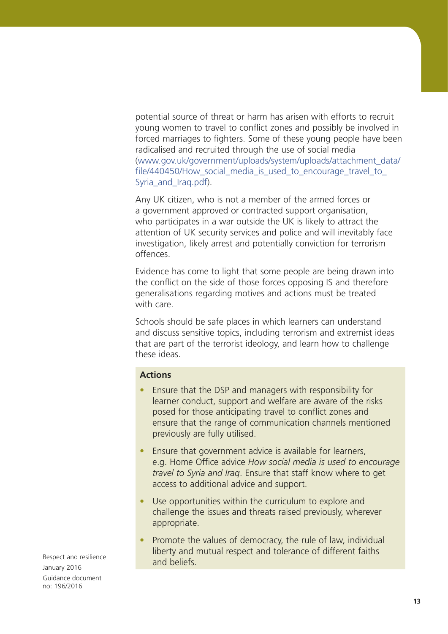potential source of threat or harm has arisen with efforts to recruit young women to travel to conflict zones and possibly be involved in forced marriages to fighters. Some of these young people have been radicalised and recruited through the use of social media [\(www.gov.uk/government/uploads/system/uploads/attachment\\_data/](www.gov.uk/government/uploads/system/uploads/attachment_data/file/440450/How_social_media_is_used_to_encourage_travel_to_Syria_and_Iraq.pdf) file/440450/How social media is used to encourage travel to [Syria\\_and\\_Iraq.pdf](www.gov.uk/government/uploads/system/uploads/attachment_data/file/440450/How_social_media_is_used_to_encourage_travel_to_Syria_and_Iraq.pdf)).

Any UK citizen, who is not a member of the armed forces or a government approved or contracted support organisation, who participates in a war outside the UK is likely to attract the attention of UK security services and police and will inevitably face investigation, likely arrest and potentially conviction for terrorism offences.

Evidence has come to light that some people are being drawn into the conflict on the side of those forces opposing IS and therefore generalisations regarding motives and actions must be treated with care.

Schools should be safe places in which learners can understand and discuss sensitive topics, including terrorism and extremist ideas that are part of the terrorist ideology, and learn how to challenge these ideas.

### **Actions**

- Ensure that the DSP and managers with responsibility for learner conduct, support and welfare are aware of the risks posed for those anticipating travel to conflict zones and ensure that the range of communication channels mentioned previously are fully utilised.
- Ensure that government advice is available for learners, e.g. Home Office advice *How social media is used to encourage travel to Syria and Iraq*. Ensure that staff know where to get access to additional advice and support.
- Use opportunities within the curriculum to explore and challenge the issues and threats raised previously, wherever appropriate.
- Promote the values of democracy, the rule of law, individual liberty and mutual respect and tolerance of different faiths and beliefs.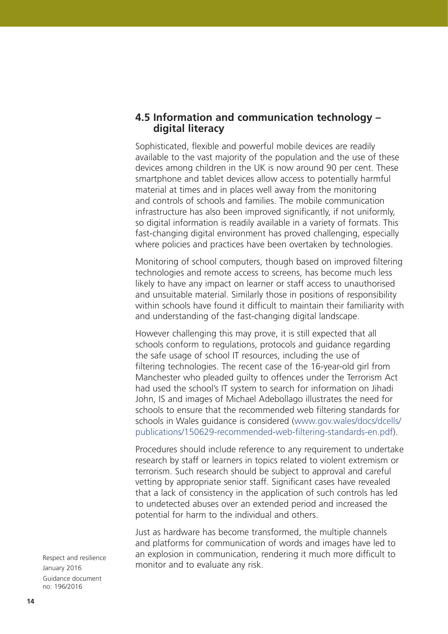### **4.5 Information and communication technology – digital literacy**

Sophisticated, flexible and powerful mobile devices are readily available to the vast majority of the population and the use of these devices among children in the UK is now around 90 per cent. These smartphone and tablet devices allow access to potentially harmful material at times and in places well away from the monitoring and controls of schools and families. The mobile communication infrastructure has also been improved significantly, if not uniformly, so digital information is readily available in a variety of formats. This fast-changing digital environment has proved challenging, especially where policies and practices have been overtaken by technologies.

Monitoring of school computers, though based on improved filtering technologies and remote access to screens, has become much less likely to have any impact on learner or staff access to unauthorised and unsuitable material. Similarly those in positions of responsibility within schools have found it difficult to maintain their familiarity with and understanding of the fast-changing digital landscape.

However challenging this may prove, it is still expected that all schools conform to regulations, protocols and guidance regarding the safe usage of school IT resources, including the use of filtering technologies. The recent case of the 16-year-old girl from Manchester who pleaded guilty to offences under the Terrorism Act had used the school's IT system to search for information on Jihadi John, IS and images of Michael Adebollago illustrates the need for schools to ensure that the recommended web filtering standards for schools in Wales guidance is considered [\(www.gov.wales/docs/dcells/](www.gov.wales/docs/dcells/publications/150629-recommended-web-filtering-standards-en.pdf) [publications/150629-recommended-web-filtering-standards-en.pdf](www.gov.wales/docs/dcells/publications/150629-recommended-web-filtering-standards-en.pdf)).

Procedures should include reference to any requirement to undertake research by staff or learners in topics related to violent extremism or terrorism. Such research should be subject to approval and careful vetting by appropriate senior staff. Significant cases have revealed that a lack of consistency in the application of such controls has led to undetected abuses over an extended period and increased the potential for harm to the individual and others.

Just as hardware has become transformed, the multiple channels and platforms for communication of words and images have led to an explosion in communication, rendering it much more difficult to monitor and to evaluate any risk.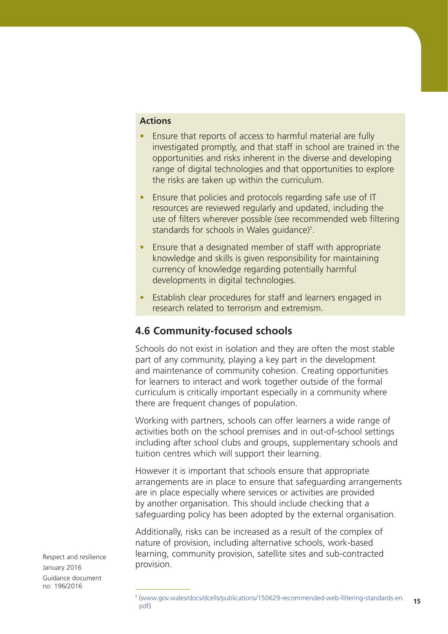### **Actions**

- Ensure that reports of access to harmful material are fully investigated promptly, and that staff in school are trained in the opportunities and risks inherent in the diverse and developing range of digital technologies and that opportunities to explore the risks are taken up within the curriculum.
- Ensure that policies and protocols regarding safe use of IT resources are reviewed regularly and updated, including the use of filters wherever possible (see recommended web filtering standards for schools in Wales guidance)<sup>5</sup>.
- Ensure that a designated member of staff with appropriate knowledge and skills is given responsibility for maintaining currency of knowledge regarding potentially harmful developments in digital technologies.
- Establish clear procedures for staff and learners engaged in research related to terrorism and extremism.

# **4.6 Community-focused schools**

Schools do not exist in isolation and they are often the most stable part of any community, playing a key part in the development and maintenance of community cohesion. Creating opportunities for learners to interact and work together outside of the formal curriculum is critically important especially in a community where there are frequent changes of population.

Working with partners, schools can offer learners a wide range of activities both on the school premises and in out-of-school settings including after school clubs and groups, supplementary schools and tuition centres which will support their learning.

However it is important that schools ensure that appropriate arrangements are in place to ensure that safeguarding arrangements are in place especially where services or activities are provided by another organisation. This should include checking that a safeguarding policy has been adopted by the external organisation.

Additionally, risks can be increased as a result of the complex of nature of provision, including alternative schools, work-based learning, community provision, satellite sites and sub-contracted provision.

**<sup>15</sup>** <sup>5</sup> ([www.gov.wales/docs/dcells/publications/150629-recommended-web-filtering-standards-en.](www.gov.wales/docs/dcells/publications/150629-recommended-web-filtering-standards-en.pdf) [pdf](www.gov.wales/docs/dcells/publications/150629-recommended-web-filtering-standards-en.pdf))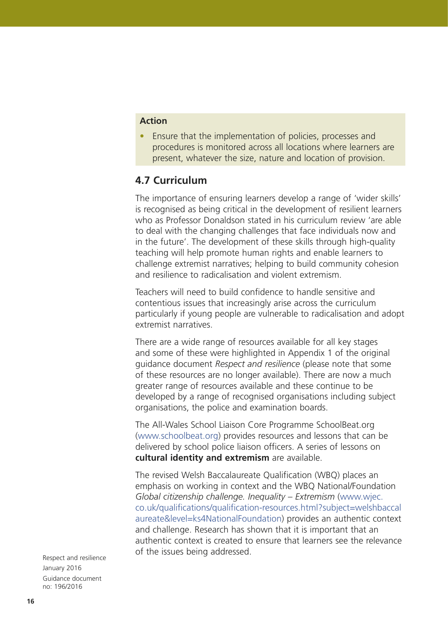### **Action**

• Ensure that the implementation of policies, processes and procedures is monitored across all locations where learners are present, whatever the size, nature and location of provision.

# **4.7 Curriculum**

The importance of ensuring learners develop a range of 'wider skills' is recognised as being critical in the development of resilient learners who as Professor Donaldson stated in his curriculum review 'are able to deal with the changing challenges that face individuals now and in the future'. The development of these skills through high-quality teaching will help promote human rights and enable learners to challenge extremist narratives; helping to build community cohesion and resilience to radicalisation and violent extremism.

Teachers will need to build confidence to handle sensitive and contentious issues that increasingly arise across the curriculum particularly if young people are vulnerable to radicalisation and adopt extremist narratives.

There are a wide range of resources available for all key stages and some of these were highlighted in Appendix 1 of the original guidance document *Respect and resilience* (please note that some of these resources are no longer available). There are now a much greater range of resources available and these continue to be developed by a range of recognised organisations including subject organisations, the police and examination boards.

The All-Wales School Liaison Core Programme SchoolBeat.org [\(www.schoolbeat.org](www.schoolbeat.org)) provides resources and lessons that can be delivered by school police liaison officers. A series of lessons on **cultural identity and extremism** are available.

The revised Welsh Baccalaureate Qualification (WBQ) places an emphasis on working in context and the WBQ National/Foundation *Global citizenship challenge. Inequality – Extremism* [\(www.wjec.](www.wjec.co.uk/qualifications/qualification-resources.html?subject=welshbaccalaureate&level=ks4NationalFoundation) [co.uk/qualifications/qualification-resources.html?subject=welshbaccal](www.wjec.co.uk/qualifications/qualification-resources.html?subject=welshbaccalaureate&level=ks4NationalFoundation) [aureate&level=ks4NationalFoundation](www.wjec.co.uk/qualifications/qualification-resources.html?subject=welshbaccalaureate&level=ks4NationalFoundation)) provides an authentic context and challenge. Research has shown that it is important that an authentic context is created to ensure that learners see the relevance of the issues being addressed.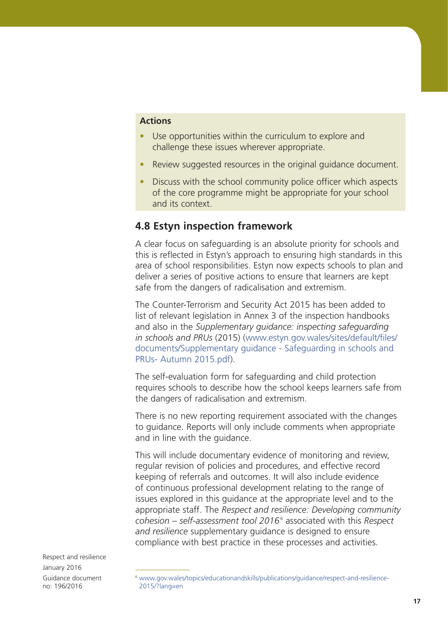### **Actions**

- Use opportunities within the curriculum to explore and challenge these issues wherever appropriate.
- Review suggested resources in the original quidance document.
- Discuss with the school community police officer which aspects of the core programme might be appropriate for your school and its context.

## **4.8 Estyn inspection framework**

A clear focus on safeguarding is an absolute priority for schools and this is reflected in Estyn's approach to ensuring high standards in this area of school responsibilities. Estyn now expects schools to plan and deliver a series of positive actions to ensure that learners are kept safe from the dangers of radicalisation and extremism.

The Counter-Terrorism and Security Act 2015 has been added to list of relevant legislation in Annex 3 of the inspection handbooks and also in the *Supplementary guidance: inspecting safeguarding in schools and PRUs* (2015) [\(www.estyn.gov.wales/sites/default/files/](www.estyn.gov.wales/sites/default/files/documents/Supplementary guidance - Safeguarding in schools and PRUs- Autumn 2015.pdf) [documents/Supplementary guidance - Safeguarding in schools and](www.estyn.gov.wales/sites/default/files/documents/Supplementary guidance - Safeguarding in schools and PRUs- Autumn 2015.pdf)  [PRUs- Autumn 2015.pdf](www.estyn.gov.wales/sites/default/files/documents/Supplementary guidance - Safeguarding in schools and PRUs- Autumn 2015.pdf)).

The self-evaluation form for safeguarding and child protection requires schools to describe how the school keeps learners safe from the dangers of radicalisation and extremism.

There is no new reporting requirement associated with the changes to guidance. Reports will only include comments when appropriate and in line with the guidance.

This will include documentary evidence of monitoring and review, regular revision of policies and procedures, and effective record keeping of referrals and outcomes. It will also include evidence of continuous professional development relating to the range of issues explored in this guidance at the appropriate level and to the appropriate staff. The *Respect and resilience: Developing community cohesion – self-assessment tool 2016*<sup>6</sup> associated with this *Respect and resilience* supplementary guidance is designed to ensure compliance with best practice in these processes and activities.

<sup>6</sup> [www.gov.wales/topics/educationandskills/publications/guidance/respect-and-resilience-](www.gov.wales/topics/educationandskills/publications/guidance/respect-and-resilience-2015/?lang=en)[2015/?lang=en](www.gov.wales/topics/educationandskills/publications/guidance/respect-and-resilience-2015/?lang=en)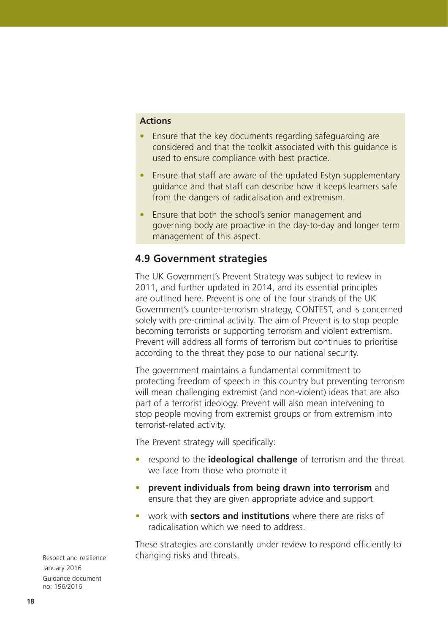#### **Actions**

- Ensure that the key documents regarding safeguarding are considered and that the toolkit associated with this guidance is used to ensure compliance with best practice.
- Ensure that staff are aware of the updated Estyn supplementary guidance and that staff can describe how it keeps learners safe from the dangers of radicalisation and extremism.
- Ensure that both the school's senior management and governing body are proactive in the day-to-day and longer term management of this aspect.

### **4.9 Government strategies**

The UK Government's Prevent Strategy was subject to review in 2011, and further updated in 2014, and its essential principles are outlined here. Prevent is one of the four strands of the UK Government's counter-terrorism strategy, CONTEST, and is concerned solely with pre-criminal activity. The aim of Prevent is to stop people becoming terrorists or supporting terrorism and violent extremism. Prevent will address all forms of terrorism but continues to prioritise according to the threat they pose to our national security.

The government maintains a fundamental commitment to protecting freedom of speech in this country but preventing terrorism will mean challenging extremist (and non-violent) ideas that are also part of a terrorist ideology. Prevent will also mean intervening to stop people moving from extremist groups or from extremism into terrorist-related activity.

The Prevent strategy will specifically:

- respond to the **ideological challenge** of terrorism and the threat we face from those who promote it
- **prevent individuals from being drawn into terrorism** and ensure that they are given appropriate advice and support
- work with **sectors and institutions** where there are risks of radicalisation which we need to address.

These strategies are constantly under review to respond efficiently to changing risks and threats.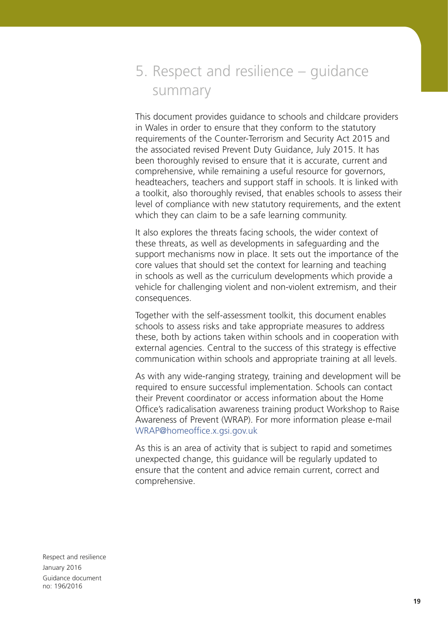5. Respect and resilience – guidance summary

This document provides guidance to schools and childcare providers in Wales in order to ensure that they conform to the statutory requirements of the Counter-Terrorism and Security Act 2015 and the associated revised Prevent Duty Guidance, July 2015. It has been thoroughly revised to ensure that it is accurate, current and comprehensive, while remaining a useful resource for governors, headteachers, teachers and support staff in schools. It is linked with a toolkit, also thoroughly revised, that enables schools to assess their level of compliance with new statutory requirements, and the extent which they can claim to be a safe learning community.

It also explores the threats facing schools, the wider context of these threats, as well as developments in safeguarding and the support mechanisms now in place. It sets out the importance of the core values that should set the context for learning and teaching in schools as well as the curriculum developments which provide a vehicle for challenging violent and non-violent extremism, and their consequences.

Together with the self-assessment toolkit, this document enables schools to assess risks and take appropriate measures to address these, both by actions taken within schools and in cooperation with external agencies. Central to the success of this strategy is effective communication within schools and appropriate training at all levels.

As with any wide-ranging strategy, training and development will be required to ensure successful implementation. Schools can contact their Prevent coordinator or access information about the Home Office's radicalisation awareness training product Workshop to Raise Awareness of Prevent (WRAP). For more information please e-mail [WRAP@homeoffice.x.gsi.gov.uk](mailto:WRAP%40homeoffice.x.gsi.gov.uk?subject=) 

As this is an area of activity that is subject to rapid and sometimes unexpected change, this guidance will be regularly updated to ensure that the content and advice remain current, correct and comprehensive.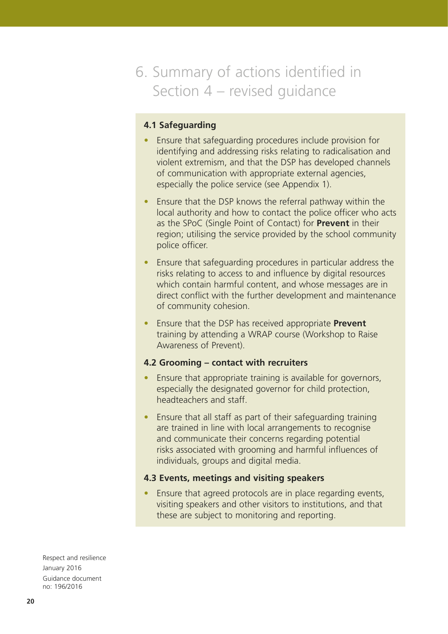# 6. Summary of actions identified in Section 4 – revised guidance

### **4.1 Safeguarding**

- Ensure that safeguarding procedures include provision for identifying and addressing risks relating to radicalisation and violent extremism, and that the DSP has developed channels of communication with appropriate external agencies, especially the police service (see Appendix 1).
- Ensure that the DSP knows the referral pathway within the local authority and how to contact the police officer who acts as the SPoC (Single Point of Contact) for **Prevent** in their region; utilising the service provided by the school community police officer.
- Ensure that safeguarding procedures in particular address the risks relating to access to and influence by digital resources which contain harmful content, and whose messages are in direct conflict with the further development and maintenance of community cohesion.
- Ensure that the DSP has received appropriate **Prevent** training by attending a WRAP course (Workshop to Raise Awareness of Prevent).

#### **4.2 Grooming – contact with recruiters**

- Ensure that appropriate training is available for governors, especially the designated governor for child protection, headteachers and staff.
- Ensure that all staff as part of their safeguarding training are trained in line with local arrangements to recognise and communicate their concerns regarding potential risks associated with grooming and harmful influences of individuals, groups and digital media.

#### **4.3 Events, meetings and visiting speakers**

• Ensure that agreed protocols are in place regarding events, visiting speakers and other visitors to institutions, and that these are subject to monitoring and reporting.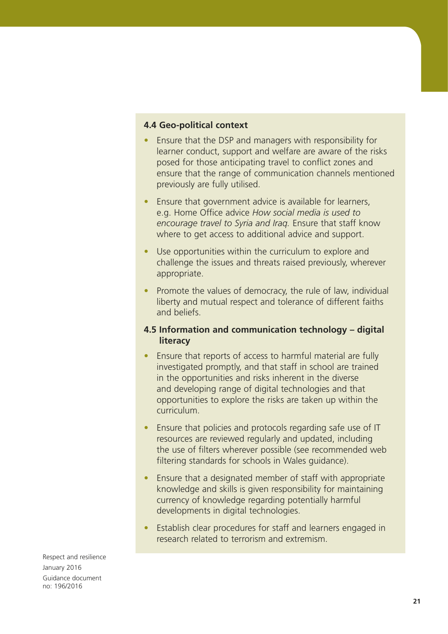### **4.4 Geo-political context**

- Ensure that the DSP and managers with responsibility for learner conduct, support and welfare are aware of the risks posed for those anticipating travel to conflict zones and ensure that the range of communication channels mentioned previously are fully utilised.
- Ensure that government advice is available for learners, e.g. Home Office advice *How social media is used to encourage travel to Syria and Iraq.* Ensure that staff know where to get access to additional advice and support.
- Use opportunities within the curriculum to explore and challenge the issues and threats raised previously, wherever appropriate.
- Promote the values of democracy, the rule of law, individual liberty and mutual respect and tolerance of different faiths and beliefs.

### **4.5 Information and communication technology – digital literacy**

- Ensure that reports of access to harmful material are fully investigated promptly, and that staff in school are trained in the opportunities and risks inherent in the diverse and developing range of digital technologies and that opportunities to explore the risks are taken up within the curriculum.
- Ensure that policies and protocols regarding safe use of IT resources are reviewed regularly and updated, including the use of filters wherever possible (see recommended web filtering standards for schools in Wales guidance).
- Ensure that a designated member of staff with appropriate knowledge and skills is given responsibility for maintaining currency of knowledge regarding potentially harmful developments in digital technologies.
- Establish clear procedures for staff and learners engaged in research related to terrorism and extremism.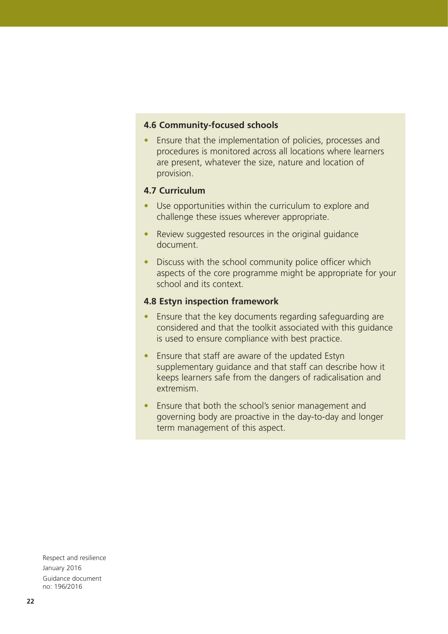#### **4.6 Community-focused schools**

• Ensure that the implementation of policies, processes and procedures is monitored across all locations where learners are present, whatever the size, nature and location of provision.

### **4.7 Curriculum**

- Use opportunities within the curriculum to explore and challenge these issues wherever appropriate.
- Review suggested resources in the original guidance document.
- Discuss with the school community police officer which aspects of the core programme might be appropriate for your school and its context.

#### **4.8 Estyn inspection framework**

- Ensure that the key documents regarding safeguarding are considered and that the toolkit associated with this guidance is used to ensure compliance with best practice.
- Ensure that staff are aware of the updated Estyn supplementary guidance and that staff can describe how it keeps learners safe from the dangers of radicalisation and extremism.
- Ensure that both the school's senior management and governing body are proactive in the day-to-day and longer term management of this aspect.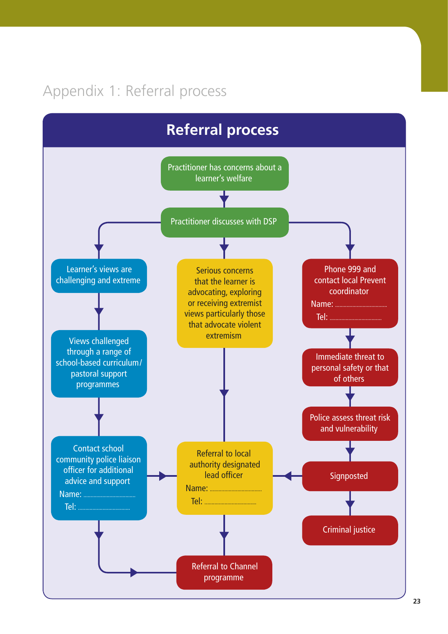# Appendix 1: Referral process